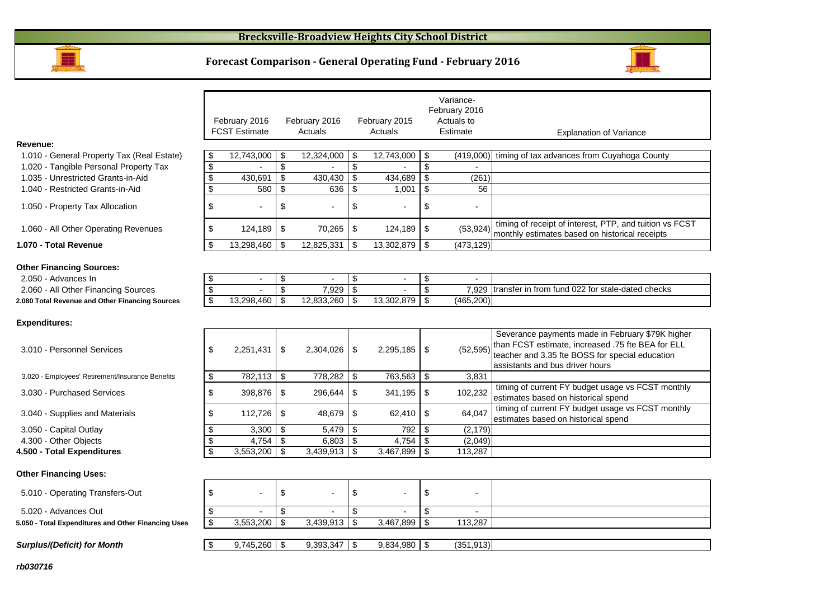

## **Forecast Comparison - General Operating Fund - February 2016**



|                                                     |                           | February 2016<br><b>FCST Estimate</b> |                         | February 2016<br>Actuals |                         | February 2015<br>Actuals |                         | Variance-<br>February 2016<br>Actuals to<br>Estimate | <b>Explanation of Variance</b>                                                                                                                                                              |
|-----------------------------------------------------|---------------------------|---------------------------------------|-------------------------|--------------------------|-------------------------|--------------------------|-------------------------|------------------------------------------------------|---------------------------------------------------------------------------------------------------------------------------------------------------------------------------------------------|
| Revenue:                                            |                           |                                       |                         |                          |                         |                          |                         |                                                      |                                                                                                                                                                                             |
| 1.010 - General Property Tax (Real Estate)          | \$                        | $12,743,000$ \ \$                     |                         | 12,324,000               | \$                      | 12,743,000               | \$                      | (419,000)                                            | timing of tax advances from Cuyahoga County                                                                                                                                                 |
| 1.020 - Tangible Personal Property Tax              | $\overline{\mathbf{e}}$   |                                       | $\overline{\mathbf{S}}$ |                          | \$                      |                          | \$                      |                                                      |                                                                                                                                                                                             |
| 1.035 - Unrestricted Grants-in-Aid                  | $\overline{\mathbf{s}}$   | 430,691                               | \$                      | 430,430                  | $\mathfrak s$           | 434,689                  | $\mathfrak s$           | (261)                                                |                                                                                                                                                                                             |
| 1.040 - Restricted Grants-in-Aid                    | $\overline{\mathbf{S}}$   | 580                                   | $\overline{\mathbf{3}}$ | 636                      | \$                      | 1,001                    | $\overline{\mathbf{s}}$ | 56                                                   |                                                                                                                                                                                             |
| 1.050 - Property Tax Allocation                     | \$                        |                                       | \$                      |                          | \$                      |                          | \$                      |                                                      |                                                                                                                                                                                             |
| 1.060 - All Other Operating Revenues                | \$                        | 124,189                               | \$                      | 70,265                   | \$                      | 124,189                  | \$                      | (53, 924)                                            | timing of receipt of interest, PTP, and tuition vs FCST<br>monthly estimates based on historical receipts                                                                                   |
| 1.070 - Total Revenue                               | \$                        | 13,298,460 \$                         |                         | 12,825,331               | -\$                     | 13,302,879               | \$                      | (473, 129)                                           |                                                                                                                                                                                             |
| <b>Other Financing Sources:</b>                     |                           |                                       |                         |                          |                         |                          |                         |                                                      |                                                                                                                                                                                             |
| 2.050 - Advances In                                 | \$                        | $\blacksquare$                        | \$                      | $\blacksquare$           | \$                      | $\overline{\phantom{a}}$ | \$                      | $\blacksquare$                                       |                                                                                                                                                                                             |
| 2.060 - All Other Financing Sources                 | $\overline{\theta}$       |                                       | $\overline{\mathbf{3}}$ | 7,929                    | \$                      |                          | \$                      | 7.929                                                | transfer in from fund 022 for stale-dated checks                                                                                                                                            |
| 2.080 Total Revenue and Other Financing Sources     | \$                        | 13,298,460                            | -\$                     | 12,833,260               | -\$                     | 13,302,879               | \$                      | (465, 200)                                           |                                                                                                                                                                                             |
| <b>Expenditures:</b>                                |                           |                                       |                         |                          |                         |                          |                         |                                                      |                                                                                                                                                                                             |
| 3.010 - Personnel Services                          | \$                        | 2,251,431                             | \$                      | 2,304,026                | \$                      | 2,295,185                | \$                      | (52, 595)                                            | Severance payments made in February \$79K higher<br>than FCST estimate, increased .75 fte BEA for ELL<br>teacher and 3.35 fte BOSS for special education<br>assistants and bus driver hours |
| 3.020 - Employees' Retirement/Insurance Benefits    | \$                        | 782,113 \$                            |                         | 778,282                  | -\$                     | 763,563 \$               |                         | 3.831                                                |                                                                                                                                                                                             |
| 3.030 - Purchased Services                          | \$                        | 398,876                               | \$                      | 296,644                  | -\$                     | 341,195                  | \$                      | 102,232                                              | timing of current FY budget usage vs FCST monthly<br>estimates based on historical spend                                                                                                    |
| 3.040 - Supplies and Materials                      | \$                        | 112,726                               | \$                      | 48,679                   | \$                      | 62,410                   | $\sqrt[6]{2}$           | 64,047                                               | timing of current FY budget usage vs FCST monthly<br>estimates based on historical spend                                                                                                    |
| 3.050 - Capital Outlay                              | \$                        | $3,300$ \$                            |                         | 5,479                    | -\$                     | 792                      | -\$                     | (2, 179)                                             |                                                                                                                                                                                             |
| 4.300 - Other Objects                               | \$                        | 4,754 $\sqrt{5}$                      |                         | 6,803                    | \$                      | 4,754                    | \$                      | (2,049)                                              |                                                                                                                                                                                             |
| 4.500 - Total Expenditures                          | \$                        | $3,553,200$ \ \$                      |                         | 3,439,913                | $\sqrt{3}$              | $3,467,899$ \$           |                         | 113,287                                              |                                                                                                                                                                                             |
| <b>Other Financing Uses:</b>                        |                           |                                       |                         |                          |                         |                          |                         |                                                      |                                                                                                                                                                                             |
| 5.010 - Operating Transfers-Out                     | \$                        |                                       | \$                      |                          | \$                      |                          | \$                      |                                                      |                                                                                                                                                                                             |
| 5.020 - Advances Out                                | \$                        |                                       | \$                      |                          | $\sqrt[6]{2}$           |                          | \$                      |                                                      |                                                                                                                                                                                             |
| 5.050 - Total Expenditures and Other Financing Uses | $\overline{\mathbf{S}}$   | 3,553,200                             | $\overline{\mathbf{S}}$ | 3,439,913                | $\overline{\mathbf{s}}$ | 3,467,899                | $\overline{\mathbf{s}}$ | 113,287                                              |                                                                                                                                                                                             |
| <b>Surplus/(Deficit) for Month</b>                  | $\boldsymbol{\mathsf{S}}$ | $9,745,260$ \$                        |                         | 9,393,347                | \$                      | $9,834,980$ \$           |                         | (351, 913)                                           |                                                                                                                                                                                             |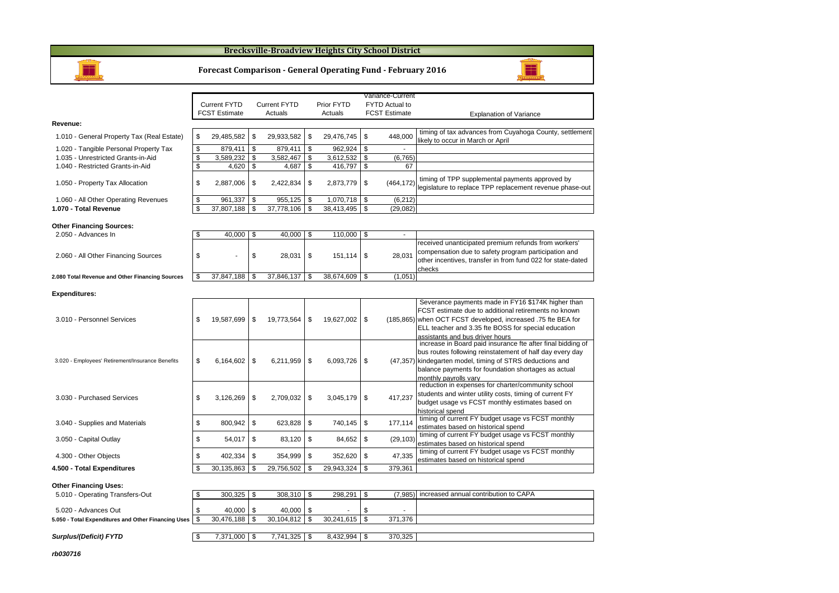#### **Brecksville-Broadview Heights City School District**



#### **Forecast Comparison - General Operating Fund - February 2016**

|                                                     |                       |                     |      |            | Variance-Current      |                                                                                                                                                                                                                                                                      |  |  |
|-----------------------------------------------------|-----------------------|---------------------|------|------------|-----------------------|----------------------------------------------------------------------------------------------------------------------------------------------------------------------------------------------------------------------------------------------------------------------|--|--|
|                                                     | <b>Current FYTD</b>   | <b>Current FYTD</b> |      | Prior FYTD | <b>FYTD Actual to</b> |                                                                                                                                                                                                                                                                      |  |  |
|                                                     | <b>FCST Estimate</b>  | Actuals             |      | Actuals    | <b>FCST Estimate</b>  | <b>Explanation of Variance</b>                                                                                                                                                                                                                                       |  |  |
| Revenue:                                            |                       |                     |      |            |                       |                                                                                                                                                                                                                                                                      |  |  |
| 1.010 - General Property Tax (Real Estate)          | \$<br>29,485,582      | \$<br>29,933,582    | \$   | 29,476,745 | \$<br>448,000         | timing of tax advances from Cuyahoga County, settlement<br>likely to occur in March or April                                                                                                                                                                         |  |  |
| 1.020 - Tangible Personal Property Tax              | \$<br>879,411         | \$<br>879.411       | \$   | 962,924    | \$                    |                                                                                                                                                                                                                                                                      |  |  |
| 1.035 - Unrestricted Grants-in-Aid                  | \$<br>3,589,232       | \$<br>3.582.467     | \$   | 3,612,532  | \$<br>(6, 765)        |                                                                                                                                                                                                                                                                      |  |  |
| 1.040 - Restricted Grants-in-Aid                    | \$<br>4,620           | \$<br>4,687         | \$   | 416,797    | \$<br>67              |                                                                                                                                                                                                                                                                      |  |  |
| 1.050 - Property Tax Allocation                     | \$<br>2,887,006       | \$<br>2,422,834     | \$   | 2,873,779  | \$<br>(464, 172)      | timing of TPP supplemental payments approved by<br>legislature to replace TPP replacement revenue phase-out                                                                                                                                                          |  |  |
| 1.060 - All Other Operating Revenues                | \$<br>961,337         | \$<br>955,125       | \$   | 1,070,718  | \$<br>(6, 212)        |                                                                                                                                                                                                                                                                      |  |  |
| 1.070 - Total Revenue                               | \$<br>37,807,188      | \$<br>37,778,106    | \$   | 38,413,495 | \$<br>(29, 082)       |                                                                                                                                                                                                                                                                      |  |  |
| <b>Other Financing Sources:</b>                     |                       |                     |      |            |                       |                                                                                                                                                                                                                                                                      |  |  |
| 2.050 - Advances In                                 | \$<br>40.000          | \$<br>40.000        | \$   | 110.000    | \$<br>÷.              |                                                                                                                                                                                                                                                                      |  |  |
| 2.060 - All Other Financing Sources                 | \$                    | \$<br>28,031        | \$   | 151,114    | \$<br>28.031          | received unanticipated premium refunds from workers'<br>compensation due to safety program participation and                                                                                                                                                         |  |  |
|                                                     |                       |                     |      |            |                       | other incentives, transfer in from fund 022 for state-dated                                                                                                                                                                                                          |  |  |
|                                                     |                       |                     |      |            |                       | checks                                                                                                                                                                                                                                                               |  |  |
| 2.080 Total Revenue and Other Financing Sources     | \$<br>$37,847,188$ \$ | 37,846,137          | \$   | 38,674,609 | \$<br>(1,051)         |                                                                                                                                                                                                                                                                      |  |  |
| <b>Expenditures:</b>                                |                       |                     |      |            |                       |                                                                                                                                                                                                                                                                      |  |  |
| 3.010 - Personnel Services                          | \$<br>19,587,699      | \$<br>19,773,564    | \$   | 19,627,002 | \$                    | Severance payments made in FY16 \$174K higher than<br>FCST estimate due to additional retirements no known<br>(185,865) when OCT FCST developed, increased .75 fte BEA for<br>ELL teacher and 3.35 fte BOSS for special education<br>assistants and bus driver hours |  |  |
| 3.020 - Employees' Retirement/Insurance Benefits    | \$<br>6,164,602       | \$<br>6,211,959     | \$   | 6,093,726  | \$<br>(47, 357)       | increase in Board paid insurance fte after final bidding of<br>bus routes following reinstatement of half day every day<br>kindegarten model, timing of STRS deductions and<br>balance payments for foundation shortages as actual<br>monthly payrolls vary          |  |  |
| 3.030 - Purchased Services                          | \$<br>3,126,269       | \$<br>2,709,032     | \$   | 3,045,179  | \$<br>417,237         | reduction in expenses for charter/community school<br>students and winter utility costs, timing of current FY<br>budget usage vs FCST monthly estimates based on<br>historical spend                                                                                 |  |  |
| 3.040 - Supplies and Materials                      | \$<br>800,942         | \$<br>623,828       | \$   | 740,145    | \$<br>177,114         | timing of current FY budget usage vs FCST monthly<br>estimates based on historical spend                                                                                                                                                                             |  |  |
| 3.050 - Capital Outlay                              | \$<br>54,017          | \$<br>83,120        | \$   | 84,652     | \$<br>(29, 103)       | timing of current FY budget usage vs FCST monthly<br>estimates based on historical spend                                                                                                                                                                             |  |  |
| 4.300 - Other Objects                               | \$<br>402,334         | \$<br>354,999       | \$   | 352,620    | \$<br>47,335          | timing of current FY budget usage vs FCST monthly<br>estimates based on historical spend                                                                                                                                                                             |  |  |
| 4.500 - Total Expenditures                          | \$<br>30,135,863      | \$<br>29,756,502    | \$   | 29,943,324 | \$<br>379,361         |                                                                                                                                                                                                                                                                      |  |  |
|                                                     |                       |                     |      |            |                       |                                                                                                                                                                                                                                                                      |  |  |
| <b>Other Financing Uses:</b>                        |                       |                     |      |            |                       |                                                                                                                                                                                                                                                                      |  |  |
| 5.010 - Operating Transfers-Out                     | \$<br>$300,325$ \$    | 308,310 \$          |      | 298.291    | \$<br>(7.985)         | increased annual contribution to CAPA                                                                                                                                                                                                                                |  |  |
| 5.020 - Advances Out                                | \$<br>40,000          | \$<br>40,000        | l \$ |            | \$                    |                                                                                                                                                                                                                                                                      |  |  |
| 5.050 - Total Expenditures and Other Financing Uses | \$<br>30,476,188      | \$<br>30,104,812    | \$   | 30,241,615 | \$<br>371,376         |                                                                                                                                                                                                                                                                      |  |  |
|                                                     |                       |                     |      |            |                       |                                                                                                                                                                                                                                                                      |  |  |
| Surplus/(Deficit) FYTD                              | \$<br>7.371.000 \$    | $7.741.325$ \$      |      | 8.432.994  | \$<br>370.325         |                                                                                                                                                                                                                                                                      |  |  |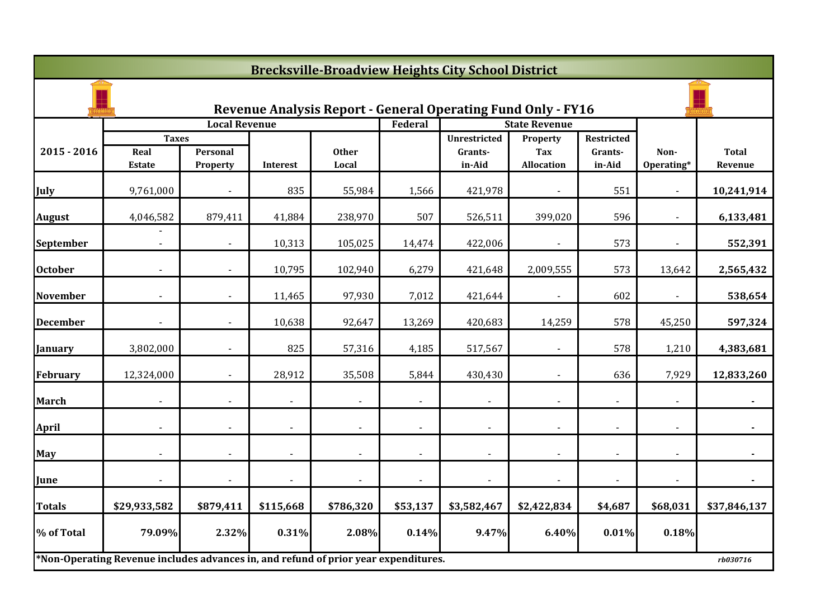|                 | <b>Brecksville-Broadview Heights City School District</b>                           |                      |                |                       |                |                                                              |                          |                   |                          |                         |  |  |  |
|-----------------|-------------------------------------------------------------------------------------|----------------------|----------------|-----------------------|----------------|--------------------------------------------------------------|--------------------------|-------------------|--------------------------|-------------------------|--|--|--|
|                 |                                                                                     |                      |                |                       |                | Revenue Analysis Report - General Operating Fund Only - FY16 |                          |                   |                          |                         |  |  |  |
|                 |                                                                                     | <b>Local Revenue</b> |                |                       | Federal        |                                                              | <b>State Revenue</b>     |                   |                          |                         |  |  |  |
|                 | <b>Taxes</b>                                                                        |                      |                |                       |                | <b>Unrestricted</b>                                          | Property                 | <b>Restricted</b> |                          |                         |  |  |  |
| $2015 - 2016$   | Real<br><b>Estate</b>                                                               | Personal<br>Property | Interest       | <b>Other</b><br>Local |                | Grants-<br>in-Aid                                            | Tax<br><b>Allocation</b> | Grants-<br>in-Aid | Non-<br>Operating*       | <b>Total</b><br>Revenue |  |  |  |
| July            | 9,761,000                                                                           |                      | 835            | 55,984                | 1,566          | 421,978                                                      |                          | 551               |                          | 10,241,914              |  |  |  |
| <b>August</b>   | 4,046,582                                                                           | 879,411              | 41,884         | 238,970               | 507            | 526,511                                                      | 399,020                  | 596               |                          | 6,133,481               |  |  |  |
| September       | $\blacksquare$                                                                      | $\sim$               | 10,313         | 105,025               | 14,474         | 422,006                                                      | $\blacksquare$           | 573               | $\overline{\phantom{a}}$ | 552,391                 |  |  |  |
| <b>October</b>  |                                                                                     |                      | 10,795         | 102,940               | 6,279          | 421,648                                                      | 2,009,555                | 573               | 13,642                   | 2,565,432               |  |  |  |
| <b>November</b> |                                                                                     |                      | 11,465         | 97,930                | 7,012          | 421,644                                                      |                          | 602               |                          | 538,654                 |  |  |  |
| <b>December</b> |                                                                                     |                      | 10,638         | 92,647                | 13,269         | 420,683                                                      | 14,259                   | 578               | 45,250                   | 597,324                 |  |  |  |
| <b>January</b>  | 3,802,000                                                                           |                      | 825            | 57,316                | 4,185          | 517,567                                                      |                          | 578               | 1,210                    | 4,383,681               |  |  |  |
| <b>February</b> | 12,324,000                                                                          | $\sim$               | 28,912         | 35,508                | 5,844          | 430,430                                                      | $\sim$                   | 636               | 7,929                    | 12,833,260              |  |  |  |
| <b>March</b>    |                                                                                     |                      |                |                       |                | $\blacksquare$                                               |                          |                   |                          |                         |  |  |  |
| <b>April</b>    |                                                                                     |                      | $\blacksquare$ |                       |                | $\blacksquare$                                               |                          |                   |                          |                         |  |  |  |
| May             |                                                                                     |                      |                |                       |                | $\blacksquare$                                               |                          |                   |                          |                         |  |  |  |
| June            |                                                                                     |                      | $\blacksquare$ |                       | $\blacksquare$ | $\blacksquare$                                               |                          |                   |                          |                         |  |  |  |
| <b>Totals</b>   | \$29,933,582                                                                        | \$879,411            | \$115,668      | \$786,320             | \$53,137       | \$3,582,467                                                  | \$2,422,834              | \$4,687           | \$68,031                 | \$37,846,137            |  |  |  |
| % of Total      | 79.09%                                                                              | 2.32%                | 0.31%          | 2.08%                 | 0.14%          | 9.47%                                                        | 6.40%                    | 0.01%             | 0.18%                    |                         |  |  |  |
|                 | *Non-Operating Revenue includes advances in, and refund of prior year expenditures. |                      |                |                       |                |                                                              |                          |                   |                          | rb030716                |  |  |  |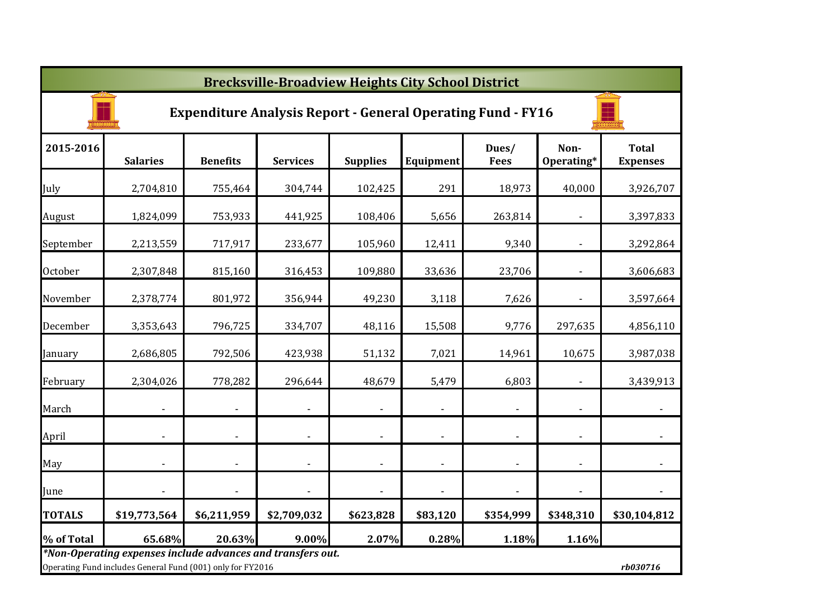|               | <b>Brecksville-Broadview Heights City School District</b>                                                                 |                          |                          |                 |                          |                          |                    |                                 |  |  |  |  |
|---------------|---------------------------------------------------------------------------------------------------------------------------|--------------------------|--------------------------|-----------------|--------------------------|--------------------------|--------------------|---------------------------------|--|--|--|--|
|               | <b>Expenditure Analysis Report - General Operating Fund - FY16</b>                                                        |                          |                          |                 |                          |                          |                    |                                 |  |  |  |  |
| 2015-2016     | <b>Salaries</b>                                                                                                           | <b>Benefits</b>          | <b>Services</b>          | <b>Supplies</b> | Equipment                | Dues/<br><b>Fees</b>     | Non-<br>Operating* | <b>Total</b><br><b>Expenses</b> |  |  |  |  |
| July          | 2,704,810                                                                                                                 | 755,464                  | 304,744                  | 102,425         | 291                      | 18,973                   | 40,000             | 3,926,707                       |  |  |  |  |
| August        | 1,824,099                                                                                                                 | 753,933                  | 441,925                  | 108,406         | 5,656                    | 263,814                  |                    | 3,397,833                       |  |  |  |  |
| September     | 2,213,559                                                                                                                 | 717,917                  | 233,677                  | 105,960         | 12,411                   | 9,340                    |                    | 3,292,864                       |  |  |  |  |
| October       | 2,307,848                                                                                                                 | 815,160                  | 316,453                  | 109,880         | 33,636                   | 23,706                   |                    | 3,606,683                       |  |  |  |  |
| November      | 2,378,774                                                                                                                 | 801,972                  | 356,944                  | 49,230          | 3,118                    | 7,626                    |                    | 3,597,664                       |  |  |  |  |
| December      | 3,353,643                                                                                                                 | 796,725                  | 334,707                  | 48,116          | 15,508                   | 9,776                    | 297,635            | 4,856,110                       |  |  |  |  |
| January       | 2,686,805                                                                                                                 | 792,506                  | 423,938                  | 51,132          | 7,021                    | 14,961                   | 10,675             | 3,987,038                       |  |  |  |  |
| February      | 2,304,026                                                                                                                 | 778,282                  | 296,644                  | 48,679          | 5,479                    | 6,803                    |                    | 3,439,913                       |  |  |  |  |
| March         |                                                                                                                           | $\overline{\phantom{a}}$ |                          |                 | $\overline{\phantom{a}}$ | $\blacksquare$           |                    | $\blacksquare$                  |  |  |  |  |
| April         |                                                                                                                           | $\overline{\phantom{a}}$ | $\overline{\phantom{a}}$ |                 | $\overline{\phantom{a}}$ | $\blacksquare$           | $\blacksquare$     |                                 |  |  |  |  |
| May           |                                                                                                                           |                          |                          |                 | $\overline{\phantom{a}}$ | $\overline{\phantom{a}}$ |                    |                                 |  |  |  |  |
| June          |                                                                                                                           |                          |                          |                 |                          |                          |                    |                                 |  |  |  |  |
| <b>TOTALS</b> | \$19,773,564                                                                                                              | \$6,211,959              | \$2,709,032              | \$623,828       | \$83,120                 | \$354,999                | \$348,310          | \$30,104,812                    |  |  |  |  |
| % of Total    | 65.68%                                                                                                                    | 20.63%                   | 9.00%                    | 2.07%           | 0.28%                    | 1.18%                    | 1.16%              |                                 |  |  |  |  |
|               | *Non-Operating expenses include advances and transfers out.<br>Operating Fund includes General Fund (001) only for FY2016 |                          |                          |                 |                          |                          |                    | rb030716                        |  |  |  |  |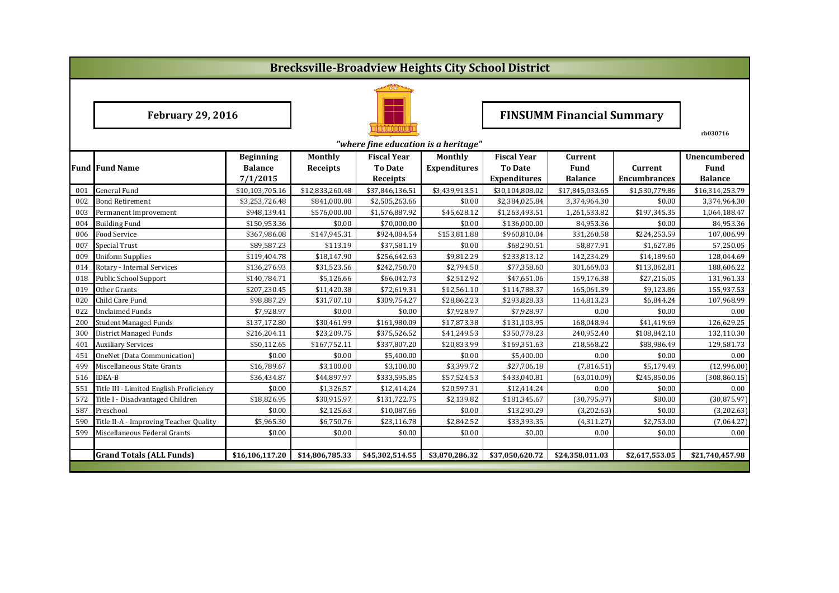|     | <b>Brecksville-Broadview Heights City School District</b>                    |                  |                 |                    |                     |                                  |                 |                     |                 |  |  |  |
|-----|------------------------------------------------------------------------------|------------------|-----------------|--------------------|---------------------|----------------------------------|-----------------|---------------------|-----------------|--|--|--|
|     |                                                                              |                  |                 |                    |                     |                                  |                 |                     |                 |  |  |  |
|     | <b>February 29, 2016</b>                                                     |                  |                 |                    |                     | <b>FINSUMM Financial Summary</b> |                 |                     |                 |  |  |  |
|     | "where fine education is a heritage"                                         |                  |                 |                    |                     |                                  |                 |                     |                 |  |  |  |
|     |                                                                              | <b>Beginning</b> | Monthly         | <b>Fiscal Year</b> | <b>Monthly</b>      | <b>Fiscal Year</b>               | Current         |                     | Unencumbered    |  |  |  |
|     | <b>Fund Fund Name</b><br><b>Balance</b><br><b>To Date</b><br><b>Receipts</b> |                  |                 |                    | <b>Expenditures</b> | <b>To Date</b>                   | Fund            | Current             | <b>Fund</b>     |  |  |  |
|     |                                                                              | 7/1/2015         |                 | Receipts           |                     | <b>Expenditures</b>              | <b>Balance</b>  | <b>Encumbrances</b> | <b>Balance</b>  |  |  |  |
| 001 | <b>General Fund</b>                                                          | \$10,103,705.16  | \$12,833,260.48 | \$37,846,136.51    | \$3,439,913.51      | \$30,104,808.02                  | \$17,845,033.65 | \$1,530,779.86      | \$16,314,253.79 |  |  |  |
| 002 | Bond Retirement                                                              | \$3,253,726.48   | \$841,000.00    | \$2,505,263.66     | \$0.00              | \$2,384,025.84                   | 3,374,964.30    | \$0.00              | 3,374,964.30    |  |  |  |
| 003 | Permanent Improvement                                                        | \$948,139.41     | \$576.000.00    | \$1,576,887.92     | \$45,628.12         | \$1,263,493.51                   | 1,261,533.82    | \$197,345.35        | 1,064,188.47    |  |  |  |
| 004 | <b>Building Fund</b>                                                         | \$150,953.36     | \$0.00          | \$70.000.00        | \$0.00              | \$136,000.00                     | 84,953.36       | \$0.00              | 84,953.36       |  |  |  |
| 006 | Food Service                                                                 | \$367,986.08     | \$147,945.31    | \$924,084.54       | \$153,811.88        | \$960,810.04                     | 331,260.58      | \$224,253.59        | 107,006.99      |  |  |  |
| 007 | Special Trust                                                                | \$89,587.23      | \$113.19        | \$37,581.19        | \$0.00              | \$68,290.51                      | 58,877.91       | \$1,627.86          | 57,250.05       |  |  |  |
| 009 | <b>Uniform Supplies</b>                                                      | \$119,404.78     | \$18,147.90     | \$256,642.63       | \$9,812.29          | \$233,813.12                     | 142,234.29      | \$14,189.60         | 128,044.69      |  |  |  |
| 014 | Rotary - Internal Services                                                   | \$136,276.93     | \$31,523.56     | \$242,750.70       | \$2,794.50          | \$77,358.60                      | 301,669.03      | \$113,062.81        | 188,606.22      |  |  |  |
| 018 | <b>Public School Support</b>                                                 | \$140,784.71     | \$5,126.66      | \$66,042.73        | \$2,512.92          | \$47,651.06                      | 159,176.38      | \$27,215.05         | 131,961.33      |  |  |  |
| 019 | Other Grants                                                                 | \$207,230.45     | \$11,420.38     | \$72,619.31        | \$12,561.10         | \$114,788.37                     | 165,061.39      | \$9,123.86          | 155,937.53      |  |  |  |
| 020 | Child Care Fund                                                              | \$98,887.29      | \$31,707.10     | \$309,754.27       | \$28,862.23         | \$293,828.33                     | 114,813.23      | \$6,844.24          | 107,968.99      |  |  |  |
| 022 | <b>Unclaimed Funds</b>                                                       | \$7,928.97       | \$0.00          | \$0.00             | \$7,928.97          | \$7,928.97                       | 0.00            | \$0.00              | 0.00            |  |  |  |
| 200 | <b>Student Managed Funds</b>                                                 | \$137,172.80     | \$30,461.99     | \$161,980.09       | \$17,873.38         | \$131,103.95                     | 168,048.94      | \$41,419.69         | 126,629.25      |  |  |  |
| 300 | <b>District Managed Funds</b>                                                | \$216,204.11     | \$23,209.75     | \$375,526.52       | \$41,249.53         | \$350,778.23                     | 240,952.40      | \$108,842.10        | 132,110.30      |  |  |  |
| 401 | <b>Auxiliary Services</b>                                                    | \$50,112.65      | \$167,752.11    | \$337,807.20       | \$20,833.99         | \$169,351.63                     | 218,568.22      | \$88,986.49         | 129,581.73      |  |  |  |
| 451 | OneNet (Data Communication)                                                  | \$0.00           | \$0.00          | \$5,400.00         | \$0.00              | \$5,400.00                       | 0.00            | \$0.00              | 0.00            |  |  |  |
| 499 | Miscellaneous State Grants                                                   | \$16,789.67      | \$3,100.00      | \$3,100.00         | \$3,399.72          | \$27,706.18                      | (7,816.51)      | \$5,179.49          | (12,996.00)     |  |  |  |
| 516 | <b>IDEA-B</b>                                                                | \$36,434.87      | \$44,897.97     | \$333,595.85       | \$57,524.53         | \$433,040.81                     | (63,010.09)     | \$245,850.06        | (308, 860.15)   |  |  |  |
| 551 | Title III - Limited English Proficiency                                      | \$0.00           | \$1,326.57      | \$12,414.24        | \$20,597.31         | \$12,414.24                      | 0.00            | \$0.00              | 0.00            |  |  |  |
| 572 | Title I - Disadvantaged Children                                             | \$18,826.95      | \$30,915.97     | \$131,722.75       | \$2,139.82          | \$181,345.67                     | (30, 795.97)    | \$80.00             | (30, 875.97)    |  |  |  |
| 587 | Preschool                                                                    | \$0.00           | \$2,125.63      | \$10,087.66        | \$0.00              | \$13,290.29                      | (3,202.63)      | \$0.00              | (3,202.63)      |  |  |  |
| 590 | Title II-A - Improving Teacher Quality                                       | \$5,965.30       | \$6,750.76      | \$23,116.78        | \$2,842.52          | \$33,393.35                      | (4,311.27)      | \$2,753.00          | (7,064.27)      |  |  |  |
| 599 | Miscellaneous Federal Grants                                                 | \$0.00           | \$0.00          | \$0.00             | \$0.00              | \$0.00                           | 0.00            | \$0.00              | 0.00            |  |  |  |
|     |                                                                              |                  |                 |                    |                     |                                  |                 |                     |                 |  |  |  |
|     | <b>Grand Totals (ALL Funds)</b>                                              | \$16,106,117.20  | \$14,806,785.33 | \$45,302,514.55    | \$3,870,286.32      | \$37,050,620.72                  | \$24,358,011.03 | \$2,617,553.05      | \$21,740,457.98 |  |  |  |
|     |                                                                              |                  |                 |                    |                     |                                  |                 |                     |                 |  |  |  |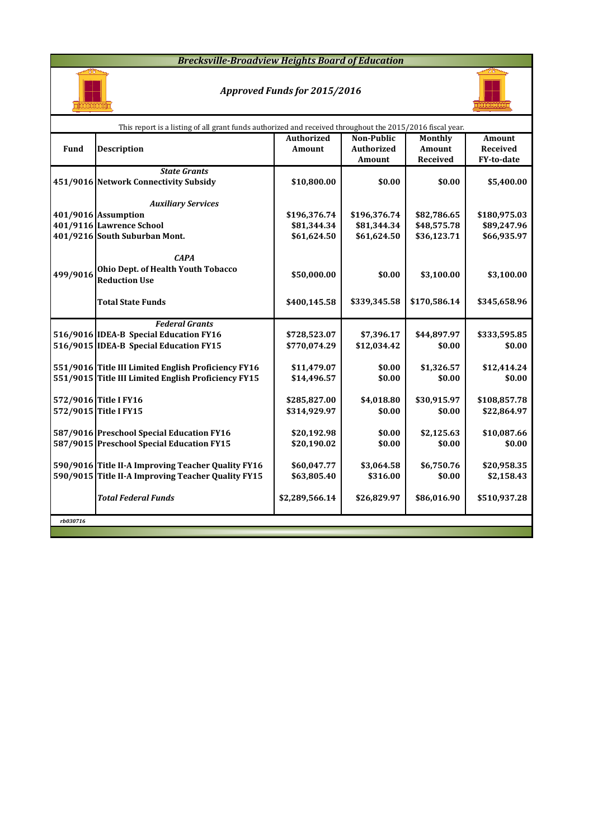#### *Brecksville-Broadview Heights Board of Education*



## *Approved Funds for 2015/2016*



|          | This report is a listing of all grant funds authorized and received throughout the 2015/2016 fiscal year. |                   |                   |                |               |  |  |  |  |  |  |
|----------|-----------------------------------------------------------------------------------------------------------|-------------------|-------------------|----------------|---------------|--|--|--|--|--|--|
|          |                                                                                                           | <b>Authorized</b> | Non-Public        | <b>Monthly</b> | <b>Amount</b> |  |  |  |  |  |  |
| Fund     | <b>Description</b>                                                                                        | Amount            | <b>Authorized</b> | Amount         | Received      |  |  |  |  |  |  |
|          |                                                                                                           |                   | Amount            | Received       | FY-to-date    |  |  |  |  |  |  |
|          | <b>State Grants</b>                                                                                       |                   |                   |                |               |  |  |  |  |  |  |
|          | 451/9016 Network Connectivity Subsidy                                                                     | \$10,800.00       | \$0.00            | \$0.00         | \$5,400.00    |  |  |  |  |  |  |
|          |                                                                                                           |                   |                   |                |               |  |  |  |  |  |  |
|          | <b>Auxiliary Services</b>                                                                                 |                   |                   |                |               |  |  |  |  |  |  |
|          | 401/9016 Assumption                                                                                       | \$196,376.74      | \$196,376.74      | \$82,786.65    | \$180,975.03  |  |  |  |  |  |  |
|          | 401/9116 Lawrence School                                                                                  | \$81,344.34       | \$81,344.34       | \$48,575.78    | \$89,247.96   |  |  |  |  |  |  |
|          | 401/9216 South Suburban Mont.                                                                             | \$61,624.50       | \$61,624.50       | \$36,123.71    | \$66,935.97   |  |  |  |  |  |  |
|          |                                                                                                           |                   |                   |                |               |  |  |  |  |  |  |
|          | <b>CAPA</b>                                                                                               |                   |                   |                |               |  |  |  |  |  |  |
| 499/9016 | Ohio Dept. of Health Youth Tobacco                                                                        | \$50,000.00       | \$0.00            | \$3,100.00     | \$3,100.00    |  |  |  |  |  |  |
|          | <b>Reduction Use</b>                                                                                      |                   |                   |                |               |  |  |  |  |  |  |
|          |                                                                                                           |                   |                   |                |               |  |  |  |  |  |  |
|          | <b>Total State Funds</b>                                                                                  | \$400,145.58      | \$339,345.58      | \$170,586.14   | \$345,658.96  |  |  |  |  |  |  |
|          |                                                                                                           |                   |                   |                |               |  |  |  |  |  |  |
|          | <b>Federal Grants</b>                                                                                     |                   |                   |                |               |  |  |  |  |  |  |
|          | 516/9016 IDEA-B Special Education FY16                                                                    | \$728,523.07      | \$7,396.17        | \$44,897.97    | \$333,595.85  |  |  |  |  |  |  |
|          | 516/9015 IDEA-B Special Education FY15                                                                    | \$770,074.29      | \$12,034.42       | \$0.00         | \$0.00        |  |  |  |  |  |  |
|          |                                                                                                           |                   |                   |                |               |  |  |  |  |  |  |
|          | 551/9016 Title III Limited English Proficiency FY16                                                       | \$11,479.07       | \$0.00            | \$1,326.57     | \$12,414.24   |  |  |  |  |  |  |
|          | 551/9015 Title III Limited English Proficiency FY15                                                       | \$14,496.57       | \$0.00            | \$0.00         | \$0.00        |  |  |  |  |  |  |
|          |                                                                                                           |                   |                   |                |               |  |  |  |  |  |  |
|          | 572/9016 Title I FY16                                                                                     | \$285,827.00      | \$4,018.80        | \$30,915.97    | \$108,857.78  |  |  |  |  |  |  |
|          | 572/9015 Title I FY15                                                                                     | \$314,929.97      | \$0.00            | \$0.00         | \$22,864.97   |  |  |  |  |  |  |
|          | 587/9016 Preschool Special Education FY16                                                                 |                   | \$0.00            | \$2,125.63     | \$10,087.66   |  |  |  |  |  |  |
|          | 587/9015 Preschool Special Education FY15                                                                 | \$20,192.98       |                   |                |               |  |  |  |  |  |  |
|          |                                                                                                           | \$20,190.02       | \$0.00            | \$0.00         | \$0.00        |  |  |  |  |  |  |
|          | 590/9016 Title II-A Improving Teacher Quality FY16                                                        | \$60,047.77       | \$3,064.58        | \$6,750.76     | \$20,958.35   |  |  |  |  |  |  |
|          | 590/9015 Title II-A Improving Teacher Quality FY15                                                        |                   | \$316.00          | \$0.00         |               |  |  |  |  |  |  |
|          |                                                                                                           | \$63,805.40       |                   |                | \$2,158.43    |  |  |  |  |  |  |
|          | <b>Total Federal Funds</b>                                                                                | \$2,289,566.14    | \$26,829.97       | \$86,016.90    | \$510,937.28  |  |  |  |  |  |  |
|          |                                                                                                           |                   |                   |                |               |  |  |  |  |  |  |
| rb030716 |                                                                                                           |                   |                   |                |               |  |  |  |  |  |  |
|          |                                                                                                           |                   |                   |                |               |  |  |  |  |  |  |
|          |                                                                                                           |                   |                   |                |               |  |  |  |  |  |  |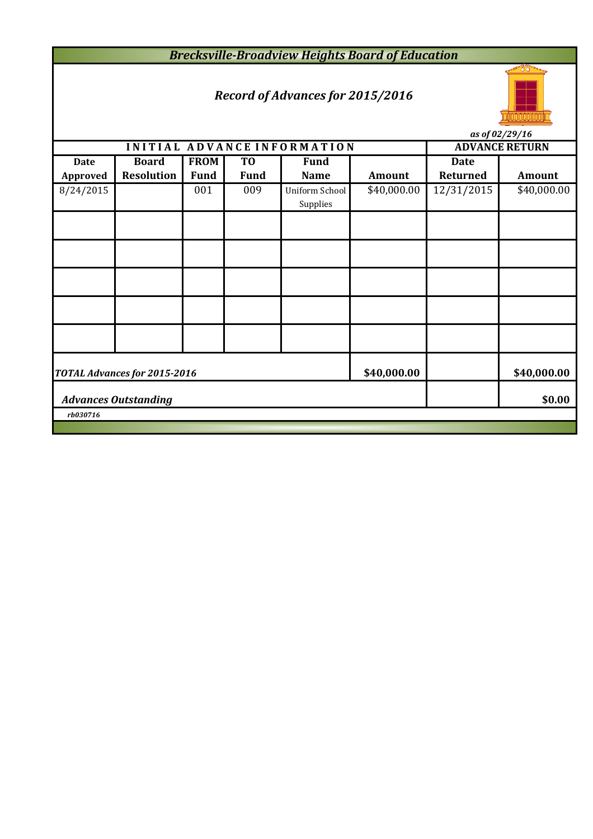*Brecksville-Broadview Heights Board of Education*

# *Record of Advances for 2015/2016*



*as of 02/29/16*

| us vj vaj avj 10<br>INITIAL ADVANCE INFORMATION<br><b>ADVANCE RETURN</b> |                                       |             |             |                |             |             |               |  |  |  |  |
|--------------------------------------------------------------------------|---------------------------------------|-------------|-------------|----------------|-------------|-------------|---------------|--|--|--|--|
|                                                                          |                                       |             |             |                |             |             |               |  |  |  |  |
| <b>Date</b>                                                              | <b>Board</b>                          | <b>FROM</b> | TO          | <b>Fund</b>    |             | <b>Date</b> |               |  |  |  |  |
| <b>Approved</b>                                                          | <b>Resolution</b>                     | <b>Fund</b> | <b>Fund</b> | <b>Name</b>    | Amount      | Returned    | <b>Amount</b> |  |  |  |  |
| 8/24/2015                                                                |                                       | 001         | 009         | Uniform School | \$40,000.00 | 12/31/2015  | \$40,000.00   |  |  |  |  |
|                                                                          |                                       |             |             | Supplies       |             |             |               |  |  |  |  |
|                                                                          |                                       |             |             |                |             |             |               |  |  |  |  |
|                                                                          |                                       |             |             |                |             |             |               |  |  |  |  |
|                                                                          |                                       |             |             |                |             |             |               |  |  |  |  |
|                                                                          |                                       |             |             |                |             |             |               |  |  |  |  |
|                                                                          |                                       |             |             |                |             |             |               |  |  |  |  |
|                                                                          |                                       |             |             |                |             |             |               |  |  |  |  |
|                                                                          |                                       |             |             |                |             |             |               |  |  |  |  |
|                                                                          |                                       |             |             |                |             |             |               |  |  |  |  |
|                                                                          |                                       |             |             |                |             |             |               |  |  |  |  |
|                                                                          |                                       |             |             |                |             |             |               |  |  |  |  |
|                                                                          |                                       |             |             |                |             |             |               |  |  |  |  |
|                                                                          | TOTAL Advances for 2015-2016          |             |             |                | \$40,000.00 |             | \$40,000.00   |  |  |  |  |
|                                                                          |                                       |             |             |                |             |             |               |  |  |  |  |
|                                                                          | \$0.00<br><b>Advances Outstanding</b> |             |             |                |             |             |               |  |  |  |  |
| rb030716                                                                 |                                       |             |             |                |             |             |               |  |  |  |  |
|                                                                          |                                       |             |             |                |             |             |               |  |  |  |  |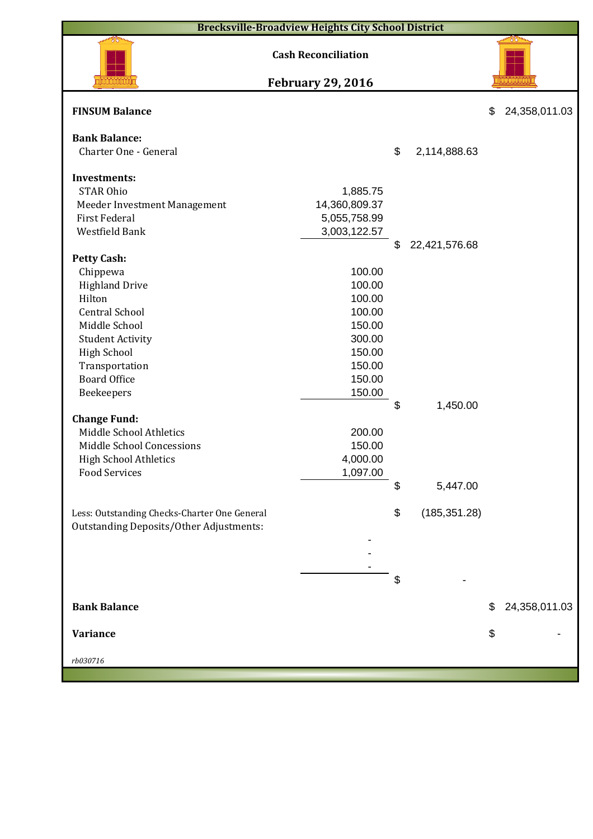| <b>Brecksville-Broadview Heights City School District</b> |                               |    |               |    |               |  |  |  |  |  |
|-----------------------------------------------------------|-------------------------------|----|---------------|----|---------------|--|--|--|--|--|
| <b>Cash Reconciliation</b>                                |                               |    |               |    |               |  |  |  |  |  |
|                                                           | <b>February 29, 2016</b>      |    |               |    |               |  |  |  |  |  |
| <b>FINSUM Balance</b>                                     |                               |    |               | \$ | 24,358,011.03 |  |  |  |  |  |
| <b>Bank Balance:</b>                                      |                               |    |               |    |               |  |  |  |  |  |
| Charter One - General                                     |                               | \$ | 2,114,888.63  |    |               |  |  |  |  |  |
|                                                           |                               |    |               |    |               |  |  |  |  |  |
| <b>Investments:</b><br><b>STAR Ohio</b>                   |                               |    |               |    |               |  |  |  |  |  |
|                                                           | 1,885.75                      |    |               |    |               |  |  |  |  |  |
| Meeder Investment Management<br><b>First Federal</b>      | 14,360,809.37<br>5,055,758.99 |    |               |    |               |  |  |  |  |  |
| Westfield Bank                                            | 3,003,122.57                  |    |               |    |               |  |  |  |  |  |
|                                                           |                               | \$ | 22,421,576.68 |    |               |  |  |  |  |  |
| <b>Petty Cash:</b>                                        |                               |    |               |    |               |  |  |  |  |  |
| Chippewa                                                  | 100.00                        |    |               |    |               |  |  |  |  |  |
| <b>Highland Drive</b>                                     | 100.00                        |    |               |    |               |  |  |  |  |  |
| Hilton                                                    | 100.00                        |    |               |    |               |  |  |  |  |  |
| <b>Central School</b>                                     | 100.00                        |    |               |    |               |  |  |  |  |  |
| Middle School                                             | 150.00                        |    |               |    |               |  |  |  |  |  |
| <b>Student Activity</b>                                   | 300.00                        |    |               |    |               |  |  |  |  |  |
| <b>High School</b>                                        | 150.00                        |    |               |    |               |  |  |  |  |  |
| Transportation                                            | 150.00                        |    |               |    |               |  |  |  |  |  |
| <b>Board Office</b>                                       | 150.00                        |    |               |    |               |  |  |  |  |  |
| Beekeepers                                                | 150.00                        |    |               |    |               |  |  |  |  |  |
|                                                           |                               | \$ | 1,450.00      |    |               |  |  |  |  |  |
| <b>Change Fund:</b>                                       |                               |    |               |    |               |  |  |  |  |  |
| Middle School Athletics                                   | 200.00                        |    |               |    |               |  |  |  |  |  |
| Middle School Concessions                                 | 150.00                        |    |               |    |               |  |  |  |  |  |
| High School Athletics                                     | 4,000.00                      |    |               |    |               |  |  |  |  |  |
| <b>Food Services</b>                                      | 1,097.00                      |    |               |    |               |  |  |  |  |  |
|                                                           |                               | \$ | 5,447.00      |    |               |  |  |  |  |  |
|                                                           |                               |    |               |    |               |  |  |  |  |  |
| Less: Outstanding Checks-Charter One General              |                               | \$ | (185, 351.28) |    |               |  |  |  |  |  |
| <b>Outstanding Deposits/Other Adjustments:</b>            |                               |    |               |    |               |  |  |  |  |  |
|                                                           |                               |    |               |    |               |  |  |  |  |  |
|                                                           |                               |    |               |    |               |  |  |  |  |  |
|                                                           |                               |    |               |    |               |  |  |  |  |  |
|                                                           |                               | \$ |               |    |               |  |  |  |  |  |
| <b>Bank Balance</b>                                       |                               |    |               | \$ | 24,358,011.03 |  |  |  |  |  |
| <b>Variance</b>                                           |                               |    |               | \$ |               |  |  |  |  |  |
|                                                           |                               |    |               |    |               |  |  |  |  |  |
| rb030716                                                  |                               |    |               |    |               |  |  |  |  |  |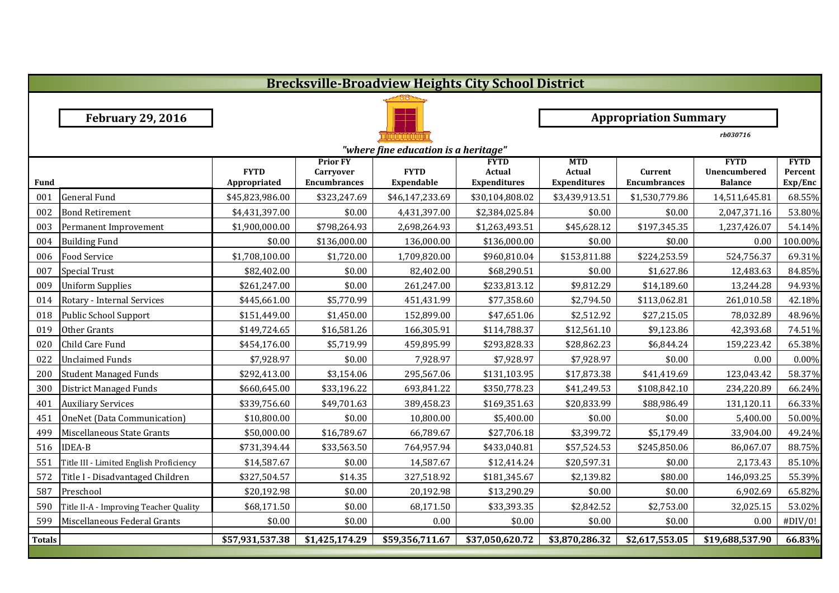|               | <b>Brecksville-Broadview Heights City School District</b> |                 |                                     |                   |                       |                              |                     |                                    |                        |  |  |  |
|---------------|-----------------------------------------------------------|-----------------|-------------------------------------|-------------------|-----------------------|------------------------------|---------------------|------------------------------------|------------------------|--|--|--|
|               |                                                           |                 |                                     |                   |                       |                              |                     |                                    |                        |  |  |  |
|               | <b>February 29, 2016</b>                                  |                 |                                     |                   |                       | <b>Appropriation Summary</b> |                     |                                    |                        |  |  |  |
|               |                                                           |                 |                                     |                   |                       |                              |                     | rb030716                           |                        |  |  |  |
|               | "where fine education is a heritage"                      |                 |                                     |                   |                       |                              |                     |                                    |                        |  |  |  |
|               |                                                           | <b>FYTD</b>     | <b>Prior FY</b><br><b>Carryover</b> | <b>FYTD</b>       | <b>FYTD</b><br>Actual | <b>MTD</b><br><b>Actual</b>  | Current             | <b>FYTD</b><br><b>Unencumbered</b> | <b>FYTD</b><br>Percent |  |  |  |
| Fund          |                                                           | Appropriated    | <b>Encumbrances</b>                 | <b>Expendable</b> | <b>Expenditures</b>   | <b>Expenditures</b>          | <b>Encumbrances</b> | <b>Balance</b>                     | Exp/Enc                |  |  |  |
| 001           | <b>General Fund</b>                                       | \$45,823,986.00 | \$323,247.69                        | \$46,147,233.69   | \$30,104,808.02       | \$3,439,913.51               | \$1,530,779.86      | 14,511,645.81                      | 68.55%                 |  |  |  |
| 002           | <b>Bond Retirement</b>                                    | \$4,431,397.00  | \$0.00                              | 4,431,397.00      | \$2,384,025.84        | \$0.00                       | \$0.00              | 2,047,371.16                       | 53.80%                 |  |  |  |
| 003           | Permanent Improvement                                     | \$1,900,000.00  | \$798,264.93                        | 2,698,264.93      | \$1,263,493.51        | \$45,628.12                  | \$197,345.35        | 1,237,426.07                       | 54.14%                 |  |  |  |
| 004           | <b>Building Fund</b>                                      | \$0.00          | \$136,000.00                        | 136,000.00        | \$136,000.00          | \$0.00                       | \$0.00              | 0.00                               | 100.00%                |  |  |  |
| 006           | <b>Food Service</b>                                       | \$1,708,100.00  | \$1,720.00                          | 1,709,820.00      | \$960,810.04          | \$153,811.88                 | \$224,253.59        | 524,756.37                         | 69.31%                 |  |  |  |
| 007           | <b>Special Trust</b>                                      | \$82,402.00     | \$0.00                              | 82,402.00         | \$68,290.51           | \$0.00                       | \$1,627.86          | 12,483.63                          | 84.85%                 |  |  |  |
| 009           | <b>Uniform Supplies</b>                                   | \$261,247.00    | \$0.00                              | 261,247.00        | \$233,813.12          | \$9,812.29                   | \$14,189.60         | 13,244.28                          | 94.93%                 |  |  |  |
| 014           | Rotary - Internal Services                                | \$445,661.00    | \$5,770.99                          | 451,431.99        | \$77,358.60           | \$2,794.50                   | \$113,062.81        | 261,010.58                         | 42.18%                 |  |  |  |
| 018           | Public School Support                                     | \$151,449.00    | \$1,450.00                          | 152,899.00        | \$47,651.06           | \$2,512.92                   | \$27,215.05         | 78,032.89                          | 48.96%                 |  |  |  |
| 019           | Other Grants                                              | \$149,724.65    | \$16,581.26                         | 166,305.91        | \$114,788.37          | \$12,561.10                  | \$9,123.86          | 42,393.68                          | 74.51%                 |  |  |  |
| 020           | Child Care Fund                                           | \$454,176.00    | \$5,719.99                          | 459,895.99        | \$293,828.33          | \$28,862.23                  | \$6,844.24          | 159,223.42                         | 65.38%                 |  |  |  |
| 022           | <b>Unclaimed Funds</b>                                    | \$7,928.97      | \$0.00                              | 7,928.97          | \$7,928.97            | \$7,928.97                   | \$0.00              | 0.00                               | 0.00%                  |  |  |  |
| 200           | <b>Student Managed Funds</b>                              | \$292,413.00    | \$3,154.06                          | 295,567.06        | \$131,103.95          | \$17,873.38                  | \$41,419.69         | 123,043.42                         | 58.37%                 |  |  |  |
| 300           | District Managed Funds                                    | \$660,645.00    | \$33,196.22                         | 693,841.22        | \$350,778.23          | \$41,249.53                  | \$108,842.10        | 234,220.89                         | 66.24%                 |  |  |  |
| 401           | <b>Auxiliary Services</b>                                 | \$339,756.60    | \$49,701.63                         | 389,458.23        | \$169,351.63          | \$20,833.99                  | \$88,986.49         | 131,120.11                         | 66.33%                 |  |  |  |
| 451           | OneNet (Data Communication)                               | \$10,800.00     | \$0.00                              | 10,800.00         | \$5,400.00            | \$0.00                       | \$0.00              | 5,400.00                           | 50.00%                 |  |  |  |
| 499           | Miscellaneous State Grants                                | \$50,000.00     | \$16,789.67                         | 66,789.67         | \$27,706.18           | \$3,399.72                   | \$5,179.49          | 33,904.00                          | 49.24%                 |  |  |  |
| 516           | <b>IDEA-B</b>                                             | \$731,394.44    | \$33,563.50                         | 764,957.94        | \$433,040.81          | \$57,524.53                  | \$245,850.06        | 86,067.07                          | 88.75%                 |  |  |  |
| 551           | Title III - Limited English Proficiency                   | \$14,587.67     | \$0.00                              | 14,587.67         | \$12,414.24           | \$20,597.31                  | \$0.00              | 2,173.43                           | 85.10%                 |  |  |  |
| 572           | Title I - Disadvantaged Children                          | \$327,504.57    | \$14.35                             | 327,518.92        | \$181,345.67          | \$2,139.82                   | \$80.00             | 146,093.25                         | 55.39%                 |  |  |  |
| 587           | Preschool                                                 | \$20,192.98     | \$0.00                              | 20,192.98         | \$13,290.29           | \$0.00                       | \$0.00              | 6,902.69                           | 65.82%                 |  |  |  |
| 590           | Title II-A - Improving Teacher Quality                    | \$68,171.50     | \$0.00                              | 68,171.50         | \$33,393.35           | \$2,842.52                   | \$2,753.00          | 32,025.15                          | 53.02%                 |  |  |  |
| 599           | Miscellaneous Federal Grants                              | \$0.00          | \$0.00                              | 0.00              | \$0.00                | \$0.00                       | \$0.00              | 0.00                               | #DIV/0!                |  |  |  |
| <b>Totals</b> |                                                           | \$57,931,537.38 | \$1,425,174.29                      | \$59,356,711.67   | \$37,050,620.72       | \$3,870,286.32               | \$2,617,553.05      | \$19,688,537.90                    | 66.83%                 |  |  |  |